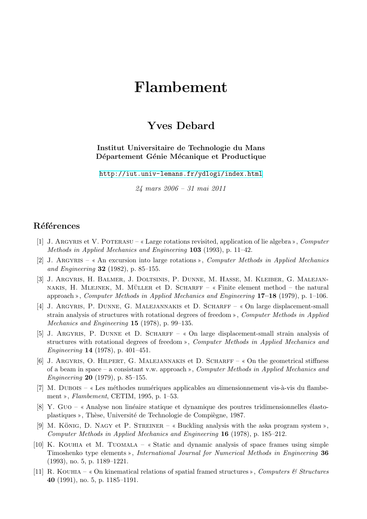## **Flambement**

## **Yves Debard**

## **Institut Universitaire de Technologie du Mans** Département Génie Mécanique et Productique

http://iut.univ-lemans.fr/ydlogi/index.html

*24 mars 2006 – 31 mai 2011*

## **Références**

- [1] J. Argyris et V. Poterasu Large rotations revisited, application of lie algebra , *Computer Methods in Applied Mechanics and Engineering* **103** (1993), p. 11–42.
- [2] J. Argyris An excursion into large rotations , *Computer Methods in Applied Mechanics and Engineering* **32** (1982), p. 85–155.
- [3] J. Argyris, H. Balmer, J. Doltsinis, P. Dunne, M. Hasse, M. Kleiber, G. Malejan-NAKIS, H. MLEJNEK, M. MÜLLER et D. SCHARFF –  $\kappa$  Finite element method – the natural approach , *Computer Methods in Applied Mechanics and Engineering* **17–18** (1979), p. 1–106.
- [4] J. ARGYRIS, P. DUNNE, G. MALEJANNAKIS et D. SCHARFF « On large displacement-small strain analysis of structures with rotational degrees of freedom , *Computer Methods in Applied Mechanics and Engineering* **15** (1978), p. 99–135.
- [5] J. ARGYRIS, P. DUNNE et D. SCHARFF « On large displacement-small strain analysis of structures with rotational degrees of freedom , *Computer Methods in Applied Mechanics and Engineering* **14** (1978), p. 401–451.
- [6] J. Argyris, O. Hilpert, G. Malejannakis et D. Scharff On the geometrical stiffness of a beam in space – a consistant v.w. approach , *Computer Methods in Applied Mechanics and Engineering* **20** (1979), p. 85–155.
- $[7]$  M. DUBOIS « Les méthodes numériques applicables au dimensionnement vis-à-vis du flambement , *Flambement*, CETIM, 1995, p. 1–53.
- [8] Y. Guo « Analyse non linéaire statique et dynamique des poutres tridimensionnelles élastoplastiques », Thèse, Université de Technologie de Compiègne, 1987.
- [9] M. KÖNIG, D. NAGY et P. STREINER  $\ast$  Buckling analysis with the aska program system  $\ast$ , *Computer Methods in Applied Mechanics and Engineering* **16** (1978), p. 185–212.
- [10] K. KOUHIA et M. TUOMALA  $\kappa$  Static and dynamic analysis of space frames using simple Timoshenko type elements », *International Journal for Numerical Methods in Engineering* 36 (1993), no. 5, p. 1189–1221.
- [11] R. KOUHIA  $\&$  On kinematical relations of spatial framed structures  $\&$ , *Computers*  $\&$  *Structures* **40** (1991), no. 5, p. 1185–1191.